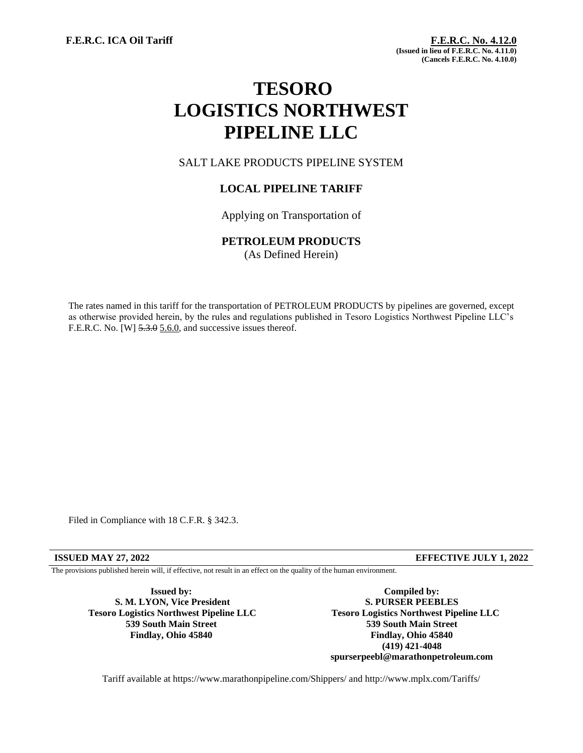# **TESORO LOGISTICS NORTHWEST PIPELINE LLC**

SALT LAKE PRODUCTS PIPELINE SYSTEM

# **LOCAL PIPELINE TARIFF**

Applying on Transportation of

# **PETROLEUM PRODUCTS**

(As Defined Herein)

The rates named in this tariff for the transportation of PETROLEUM PRODUCTS by pipelines are governed, except as otherwise provided herein, by the rules and regulations published in Tesoro Logistics Northwest Pipeline LLC's F.E.R.C. No. [W]  $5.3.0$  5.6.0, and successive issues thereof.

Filed in Compliance with 18 C.F.R. § 342.3.

The provisions published herein will, if effective, not result in an effect on the quality of the human environment.

**Issued by: S. M. LYON, Vice President Tesoro Logistics Northwest Pipeline LLC 539 South Main Street Findlay, Ohio 45840**

**Compiled by: S. PURSER PEEBLES Tesoro Logistics Northwest Pipeline LLC 539 South Main Street Findlay, Ohio 45840 (419) 421-4048 spurserpeebl@marathonpetroleum.com**

Tariff available at https://www.marathonpipeline.com/Shippers/ and http://www.mplx.com/Tariffs/

#### **ISSUED MAY 27, 2022 EFFECTIVE JULY 1, 2022**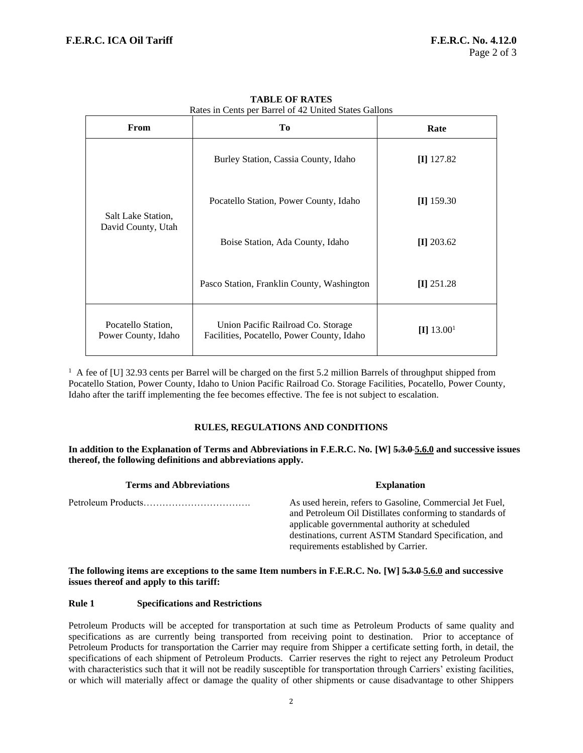| From                                      | Tо                                                                               | Rate         |  |
|-------------------------------------------|----------------------------------------------------------------------------------|--------------|--|
| Salt Lake Station,<br>David County, Utah  | Burley Station, Cassia County, Idaho                                             | $[I]$ 127.82 |  |
|                                           | Pocatello Station, Power County, Idaho                                           | $[I]$ 159.30 |  |
|                                           | Boise Station, Ada County, Idaho                                                 | $[I]$ 203.62 |  |
|                                           | Pasco Station, Franklin County, Washington                                       | $[I]$ 251.28 |  |
| Pocatello Station,<br>Power County, Idaho | Union Pacific Railroad Co. Storage<br>Facilities, Pocatello, Power County, Idaho | [I] $13.001$ |  |

| <b>TABLE OF RATES</b>                                 |  |  |  |  |  |
|-------------------------------------------------------|--|--|--|--|--|
| Rates in Cents per Barrel of 42 United States Gallons |  |  |  |  |  |

<sup>1</sup> A fee of [U] 32.93 cents per Barrel will be charged on the first 5.2 million Barrels of throughput shipped from Pocatello Station, Power County, Idaho to Union Pacific Railroad Co. Storage Facilities, Pocatello, Power County, Idaho after the tariff implementing the fee becomes effective. The fee is not subject to escalation.

#### **RULES, REGULATIONS AND CONDITIONS**

**In addition to the Explanation of Terms and Abbreviations in F.E.R.C. No. [W] 5.3.0 5.6.0 and successive issues thereof, the following definitions and abbreviations apply.**

| <b>Explanation</b>                                                                                                                                                                                                                                                       |  |  |
|--------------------------------------------------------------------------------------------------------------------------------------------------------------------------------------------------------------------------------------------------------------------------|--|--|
| As used herein, refers to Gasoline, Commercial Jet Fuel,<br>and Petroleum Oil Distillates conforming to standards of<br>applicable governmental authority at scheduled<br>destinations, current ASTM Standard Specification, and<br>requirements established by Carrier. |  |  |
|                                                                                                                                                                                                                                                                          |  |  |

**The following items are exceptions to the same Item numbers in F.E.R.C. No. [W] 5.3.0 5.6.0 and successive issues thereof and apply to this tariff:**

#### **Rule 1 Specifications and Restrictions**

Petroleum Products will be accepted for transportation at such time as Petroleum Products of same quality and specifications as are currently being transported from receiving point to destination. Prior to acceptance of Petroleum Products for transportation the Carrier may require from Shipper a certificate setting forth, in detail, the specifications of each shipment of Petroleum Products. Carrier reserves the right to reject any Petroleum Product with characteristics such that it will not be readily susceptible for transportation through Carriers' existing facilities, or which will materially affect or damage the quality of other shipments or cause disadvantage to other Shippers